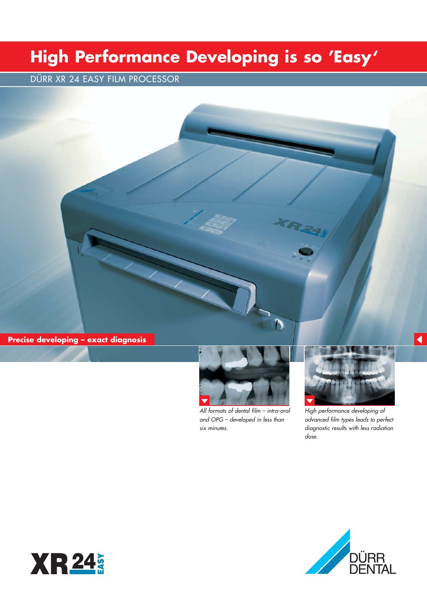# **High Performance Developing is so 'Easy'**

DÜRR XR 24 EASY FILM PROCESSOR

**Precise developing – exact diagnosis**



*All formats of dental film – intra-oral and OPG – developed in less than six minutes.*



 $\blacktriangleleft$ 

*High performance developing of advanced film types leads to perfect diagnostic results with less radiation dose.*



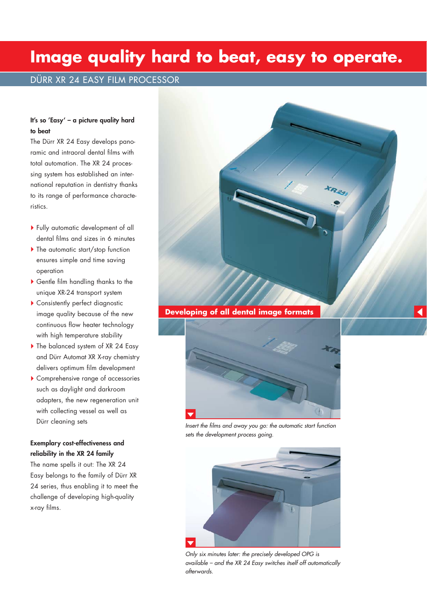### **Image quality hard to beat, easy to operate.**

### DÜRR XR 24 EASY FILM PROCESSOR

#### **It's so 'Easy' – a picture quality hard to beat**

The Dürr XR 24 Easy develops panoramic and intraoral dental films with total automation. The XR 24 processing system has established an international reputation in dentistry thanks to its range of performance characteristics.

- Fully automatic development of all dental films and sizes in 6 minutes
- ▶ The automatic start/stop function ensures simple and time saving operation
- Gentle film handling thanks to the unique XR-24 transport system
- Consistently perfect diagnostic image quality because of the new continuous flow heater technology with high temperature stability
- The balanced system of XR 24 Easy and Dürr Automat XR X-ray chemistry delivers optimum film development
- Comprehensive range of accessories such as daylight and darkroom adapters, the new regeneration unit with collecting vessel as well as Dürr cleaning sets

#### **Exemplary cost-effectiveness and reliability in the XR 24 family**

The name spells it out: The XR 24 Easy belongs to the family of Dürr XR 24 series, thus enabling it to meet the challenge of developing high-quality x-ray films.



**Developing of all dental image formats**



*Insert the films and away you go: the automatic start function sets the development process going.*



*Only six minutes later: the precisely developed OPG is available – and the XR 24 Easy switches itself off automatically afterwards.*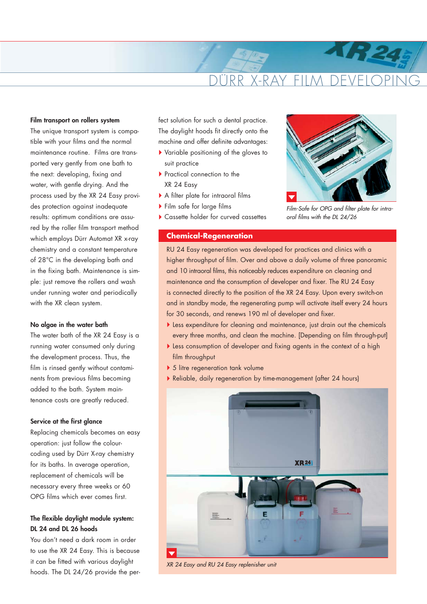## RR X-RAY FILM

#### **Film transport on rollers system**

The unique transport system is compatible with your films and the normal maintenance routine. Films are transported very gently from one bath to the next: developing, fixing and water, with gentle drying. And the process used by the XR 24 Easy provides protection against inadequate results: optimum conditions are assured by the roller film transport method which employs Dürr Automat XR x-ray chemistry and a constant temperature of 28°C in the developing bath and in the fixing bath. Maintenance is simple: just remove the rollers and wash under running water and periodically with the XR clean system.

#### **No algae in the water bath**

The water bath of the XR 24 Easy is a running water consumed only during the development process. Thus, the film is rinsed gently without contaminents from previous films becoming added to the bath. System maintenance costs are greatly reduced.

#### **Service at the first glance**

Replacing chemicals becomes an easy operation: just follow the colourcoding used by Dürr X-ray chemistry for its baths. In average operation, replacement of chemicals will be necessary every three weeks or 60 OPG films which ever comes first.

#### **The flexible daylight module system: DL 24 and DL 26 hoods**

You don't need a dark room in order to use the XR 24 Easy. This is because it can be fitted with various daylight hoods. The DL 24/26 provide the perfect solution for such a dental practice. The daylight hoods fit directly onto the machine and offer definite advantages:

- Variable positioning of the gloves to suit practice
- Practical connection to the XR 24 Easy
- A filter plate for intraoral films
- Film safe for large films
- Cassette holder for curved cassettes

#### **Chemical-Regeneration**



**H** 24

*Film-Safe for OPG and filter plate for intraoral films with the DL 24/26*

RU 24 Easy regeneration was developed for practices and clinics with a higher throughput of film. Over and above a daily volume of three panoramic and 10 intraoral films, this noticeably reduces expenditure on cleaning and maintenance and the consumption of developer and fixer. The RU 24 Easy is connected directly to the position of the XR 24 Easy. Upon every switch-on and in standby mode, the regenerating pump will activate itself every 24 hours for 30 seconds, and renews 190 ml of developer and fixer.

- Less expenditure for cleaning and maintenance, just drain out the chemicals every three months, and clean the machine. [Depending on film through-put]
- Less consumption of developer and fixing agents in the context of a high film throughput
- 5 litre regeneration tank volume
- Reliable, daily regeneration by time-management (after 24 hours)



*XR 24 Easy and RU 24 Easy replenisher unit*